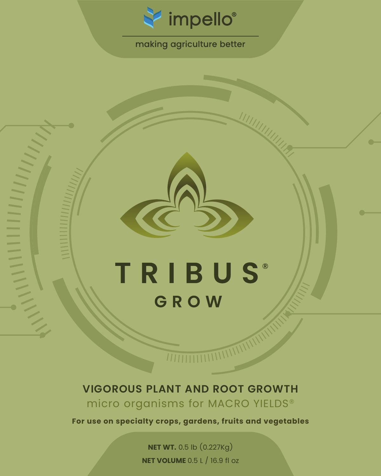

# making agriculture better

# **TRIBUS®** GROW

 $\frac{1}{2}$ 

# **VIGOROUS PLANT AND ROOT GROWTH** micro organisms for MACRO YIELDS®

**For use on specialty crops, gardens, fruits and vegetables**

**NET WT.** 0.5 lb (0.227Kg) **NET VOLUME** 0.5 L / 16.9 fl oz